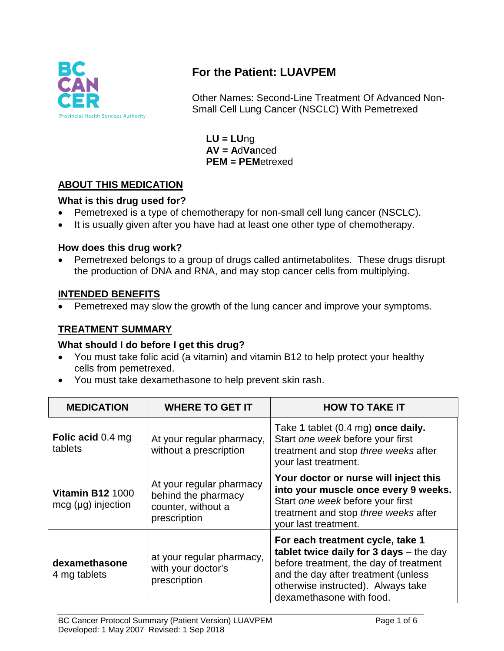

# **For the Patient: LUAVPEM**

Other Names: Second-Line Treatment Of Advanced Non-Small Cell Lung Cancer (NSCLC) With Pemetrexed

**LU = LU**ng **AV = A**d**Va**nced **PEM = PEM**etrexed

## **ABOUT THIS MEDICATION**

## **What is this drug used for?**

- Pemetrexed is a type of chemotherapy for non-small cell lung cancer (NSCLC).
- It is usually given after you have had at least one other type of chemotherapy.

## **How does this drug work?**

• Pemetrexed belongs to a group of drugs called antimetabolites. These drugs disrupt the production of DNA and RNA, and may stop cancer cells from multiplying.

## **INTENDED BENEFITS**

• Pemetrexed may slow the growth of the lung cancer and improve your symptoms.

## **TREATMENT SUMMARY**

#### **What should I do before I get this drug?**

- You must take folic acid (a vitamin) and vitamin B12 to help protect your healthy cells from pemetrexed.
- You must take dexamethasone to help prevent skin rash.

| <b>MEDICATION</b>                               | <b>WHERE TO GET IT</b>                                                                | <b>HOW TO TAKE IT</b>                                                                                                                                                                                                              |
|-------------------------------------------------|---------------------------------------------------------------------------------------|------------------------------------------------------------------------------------------------------------------------------------------------------------------------------------------------------------------------------------|
| <b>Folic acid 0.4 mg</b><br>tablets             | At your regular pharmacy,<br>without a prescription                                   | Take 1 tablet (0.4 mg) once daily.<br>Start one week before your first<br>treatment and stop three weeks after<br>your last treatment.                                                                                             |
| <b>Vitamin B12 1000</b><br>$mcg$ (µg) injection | At your regular pharmacy<br>behind the pharmacy<br>counter, without a<br>prescription | Your doctor or nurse will inject this<br>into your muscle once every 9 weeks.<br>Start one week before your first<br>treatment and stop three weeks after<br>your last treatment.                                                  |
| dexamethasone<br>4 mg tablets                   | at your regular pharmacy,<br>with your doctor's<br>prescription                       | For each treatment cycle, take 1<br>tablet twice daily for $3$ days $-$ the day<br>before treatment, the day of treatment<br>and the day after treatment (unless<br>otherwise instructed). Always take<br>dexamethasone with food. |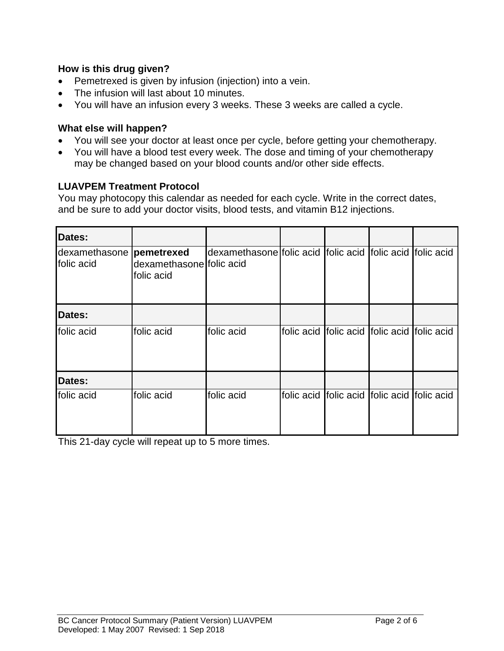#### **How is this drug given?**

- Pemetrexed is given by infusion (injection) into a vein.
- The infusion will last about 10 minutes.
- You will have an infusion every 3 weeks. These 3 weeks are called a cycle.

#### **What else will happen?**

- You will see your doctor at least once per cycle, before getting your chemotherapy.
- You will have a blood test every week. The dose and timing of your chemotherapy may be changed based on your blood counts and/or other side effects.

#### **LUAVPEM Treatment Protocol**

You may photocopy this calendar as needed for each cycle. Write in the correct dates, and be sure to add your doctor visits, blood tests, and vitamin B12 injections.

| Dates:                                  |                                        |                                                           |                                             |            |
|-----------------------------------------|----------------------------------------|-----------------------------------------------------------|---------------------------------------------|------------|
| dexamethasone  pemetrexed<br>folic acid | dexamethasone folic acid<br>folic acid | dexamethasone folic acid folic acid folic acid folic acid |                                             |            |
| Dates:                                  |                                        |                                                           |                                             |            |
| folic acid                              | folic acid                             | folic acid                                                | folic acid folic acid folic acid            | folic acid |
| Dates:                                  |                                        |                                                           |                                             |            |
| folic acid                              | folic acid                             | folic acid                                                | folic acid folic acid folic acid folic acid |            |

This 21-day cycle will repeat up to 5 more times.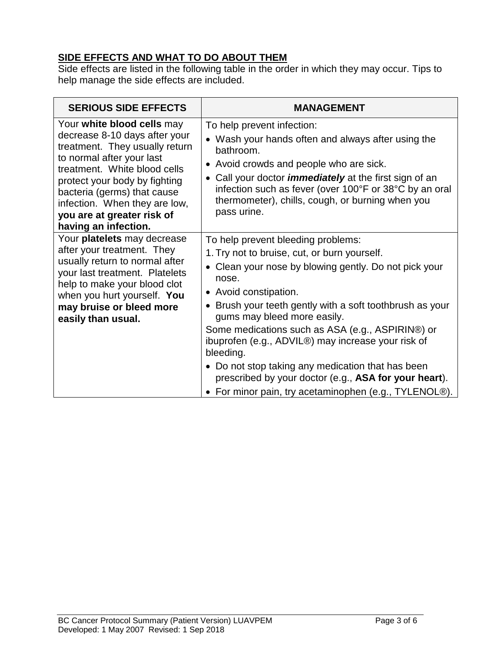## **SIDE EFFECTS AND WHAT TO DO ABOUT THEM**

Side effects are listed in the following table in the order in which they may occur. Tips to help manage the side effects are included.

| <b>SERIOUS SIDE EFFECTS</b>                                                                                                                                                                                                                                                                                       | <b>MANAGEMENT</b>                                                                                                                                                                                                                                                                                                                                                                                                                                                                                                                                                               |
|-------------------------------------------------------------------------------------------------------------------------------------------------------------------------------------------------------------------------------------------------------------------------------------------------------------------|---------------------------------------------------------------------------------------------------------------------------------------------------------------------------------------------------------------------------------------------------------------------------------------------------------------------------------------------------------------------------------------------------------------------------------------------------------------------------------------------------------------------------------------------------------------------------------|
| Your white blood cells may<br>decrease 8-10 days after your<br>treatment. They usually return<br>to normal after your last<br>treatment. White blood cells<br>protect your body by fighting<br>bacteria (germs) that cause<br>infection. When they are low,<br>you are at greater risk of<br>having an infection. | To help prevent infection:<br>• Wash your hands often and always after using the<br>bathroom.<br>Avoid crowds and people who are sick.<br>$\bullet$<br>• Call your doctor <i>immediately</i> at the first sign of an<br>infection such as fever (over 100°F or 38°C by an oral<br>thermometer), chills, cough, or burning when you<br>pass urine.                                                                                                                                                                                                                               |
| Your platelets may decrease<br>after your treatment. They<br>usually return to normal after<br>your last treatment. Platelets<br>help to make your blood clot<br>when you hurt yourself. You<br>may bruise or bleed more<br>easily than usual.                                                                    | To help prevent bleeding problems:<br>1. Try not to bruise, cut, or burn yourself.<br>Clean your nose by blowing gently. Do not pick your<br>$\bullet$<br>nose.<br>• Avoid constipation.<br>• Brush your teeth gently with a soft toothbrush as your<br>gums may bleed more easily.<br>Some medications such as ASA (e.g., ASPIRIN®) or<br>ibuprofen (e.g., ADVIL®) may increase your risk of<br>bleeding.<br>• Do not stop taking any medication that has been<br>prescribed by your doctor (e.g., ASA for your heart).<br>For minor pain, try acetaminophen (e.g., TYLENOL®). |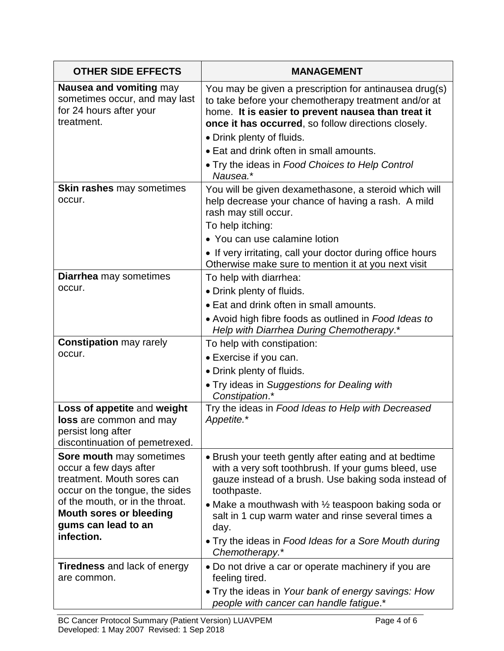| <b>OTHER SIDE EFFECTS</b>                                                                                                                                                               | <b>MANAGEMENT</b>                                                                                                                                                                                                                                                                                           |  |
|-----------------------------------------------------------------------------------------------------------------------------------------------------------------------------------------|-------------------------------------------------------------------------------------------------------------------------------------------------------------------------------------------------------------------------------------------------------------------------------------------------------------|--|
| Nausea and vomiting may<br>sometimes occur, and may last<br>for 24 hours after your<br>treatment.                                                                                       | You may be given a prescription for antinausea drug(s)<br>to take before your chemotherapy treatment and/or at<br>home. It is easier to prevent nausea than treat it<br>once it has occurred, so follow directions closely.                                                                                 |  |
|                                                                                                                                                                                         | • Drink plenty of fluids.                                                                                                                                                                                                                                                                                   |  |
|                                                                                                                                                                                         | • Eat and drink often in small amounts.                                                                                                                                                                                                                                                                     |  |
|                                                                                                                                                                                         | • Try the ideas in Food Choices to Help Control<br>Nausea.*                                                                                                                                                                                                                                                 |  |
| Skin rashes may sometimes<br>occur.                                                                                                                                                     | You will be given dexamethasone, a steroid which will<br>help decrease your chance of having a rash. A mild<br>rash may still occur.                                                                                                                                                                        |  |
|                                                                                                                                                                                         | To help itching:                                                                                                                                                                                                                                                                                            |  |
|                                                                                                                                                                                         | • You can use calamine lotion                                                                                                                                                                                                                                                                               |  |
|                                                                                                                                                                                         | • If very irritating, call your doctor during office hours<br>Otherwise make sure to mention it at you next visit                                                                                                                                                                                           |  |
| <b>Diarrhea</b> may sometimes                                                                                                                                                           | To help with diarrhea:                                                                                                                                                                                                                                                                                      |  |
| occur.                                                                                                                                                                                  | • Drink plenty of fluids.                                                                                                                                                                                                                                                                                   |  |
|                                                                                                                                                                                         | • Eat and drink often in small amounts.                                                                                                                                                                                                                                                                     |  |
|                                                                                                                                                                                         | • Avoid high fibre foods as outlined in Food Ideas to<br>Help with Diarrhea During Chemotherapy.*                                                                                                                                                                                                           |  |
| <b>Constipation may rarely</b>                                                                                                                                                          | To help with constipation:                                                                                                                                                                                                                                                                                  |  |
| occur.                                                                                                                                                                                  | • Exercise if you can.                                                                                                                                                                                                                                                                                      |  |
|                                                                                                                                                                                         | • Drink plenty of fluids.                                                                                                                                                                                                                                                                                   |  |
|                                                                                                                                                                                         | . Try ideas in Suggestions for Dealing with<br>Constipation.*                                                                                                                                                                                                                                               |  |
| Loss of appetite and weight<br>loss are common and may<br>persist long after<br>discontinuation of pemetrexed.                                                                          | Try the ideas in Food Ideas to Help with Decreased<br>Appetite.*                                                                                                                                                                                                                                            |  |
| Sore mouth may sometimes<br>occur a few days after<br>treatment. Mouth sores can<br>occur on the tongue, the sides<br>of the mouth, or in the throat.<br><b>Mouth sores or bleeding</b> | • Brush your teeth gently after eating and at bedtime<br>with a very soft toothbrush. If your gums bleed, use<br>gauze instead of a brush. Use baking soda instead of<br>toothpaste.<br>• Make a mouthwash with $\frac{1}{2}$ teaspoon baking soda or<br>salt in 1 cup warm water and rinse several times a |  |
| gums can lead to an<br>infection.                                                                                                                                                       | day.<br>• Try the ideas in Food Ideas for a Sore Mouth during                                                                                                                                                                                                                                               |  |
|                                                                                                                                                                                         | Chemotherapy.*                                                                                                                                                                                                                                                                                              |  |
| <b>Tiredness</b> and lack of energy<br>are common.                                                                                                                                      | • Do not drive a car or operate machinery if you are<br>feeling tired.                                                                                                                                                                                                                                      |  |
|                                                                                                                                                                                         | • Try the ideas in Your bank of energy savings: How<br>people with cancer can handle fatigue.*                                                                                                                                                                                                              |  |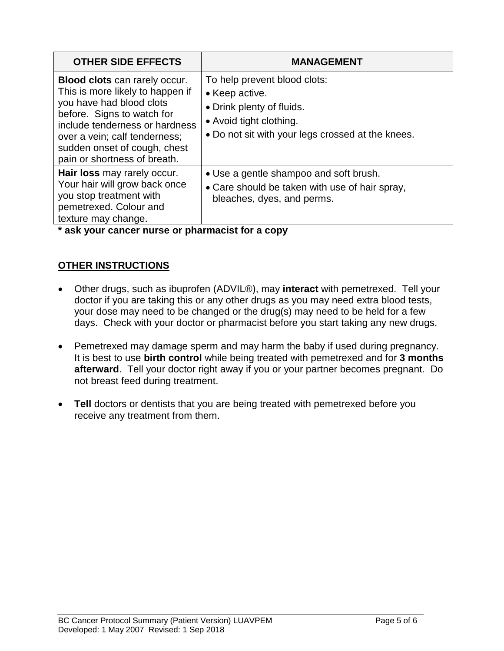| <b>OTHER SIDE EFFECTS</b>                                                                                                                                                                                                                                      | <b>MANAGEMENT</b>                                                                                                                                           |
|----------------------------------------------------------------------------------------------------------------------------------------------------------------------------------------------------------------------------------------------------------------|-------------------------------------------------------------------------------------------------------------------------------------------------------------|
| Blood clots can rarely occur.<br>This is more likely to happen if<br>you have had blood clots<br>before. Signs to watch for<br>include tenderness or hardness<br>over a vein; calf tenderness;<br>sudden onset of cough, chest<br>pain or shortness of breath. | To help prevent blood clots:<br>• Keep active.<br>• Drink plenty of fluids.<br>• Avoid tight clothing.<br>• Do not sit with your legs crossed at the knees. |
| Hair loss may rarely occur.<br>Your hair will grow back once<br>you stop treatment with<br>pemetrexed. Colour and<br>texture may change.                                                                                                                       | • Use a gentle shampoo and soft brush.<br>• Care should be taken with use of hair spray,<br>bleaches, dyes, and perms.                                      |

**\* ask your cancer nurse or pharmacist for a copy**

## **OTHER INSTRUCTIONS**

- Other drugs, such as ibuprofen (ADVIL®), may **interact** with pemetrexed. Tell your doctor if you are taking this or any other drugs as you may need extra blood tests, your dose may need to be changed or the drug(s) may need to be held for a few days. Check with your doctor or pharmacist before you start taking any new drugs.
- Pemetrexed may damage sperm and may harm the baby if used during pregnancy. It is best to use **birth control** while being treated with pemetrexed and for **3 months afterward**. Tell your doctor right away if you or your partner becomes pregnant. Do not breast feed during treatment.
- **Tell** doctors or dentists that you are being treated with pemetrexed before you receive any treatment from them.